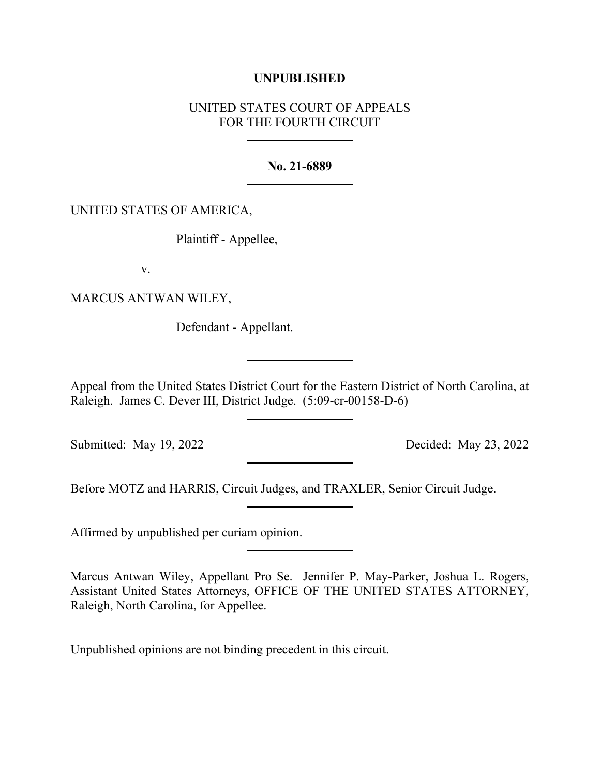## **UNPUBLISHED**

## UNITED STATES COURT OF APPEALS FOR THE FOURTH CIRCUIT

## **No. 21-6889**

## UNITED STATES OF AMERICA,

Plaintiff - Appellee,

v.

MARCUS ANTWAN WILEY,

Defendant - Appellant.

Appeal from the United States District Court for the Eastern District of North Carolina, at Raleigh. James C. Dever III, District Judge. (5:09-cr-00158-D-6)

Submitted: May 19, 2022 Decided: May 23, 2022

Before MOTZ and HARRIS, Circuit Judges, and TRAXLER, Senior Circuit Judge.

Affirmed by unpublished per curiam opinion.

Marcus Antwan Wiley, Appellant Pro Se. Jennifer P. May-Parker, Joshua L. Rogers, Assistant United States Attorneys, OFFICE OF THE UNITED STATES ATTORNEY, Raleigh, North Carolina, for Appellee.

Unpublished opinions are not binding precedent in this circuit.